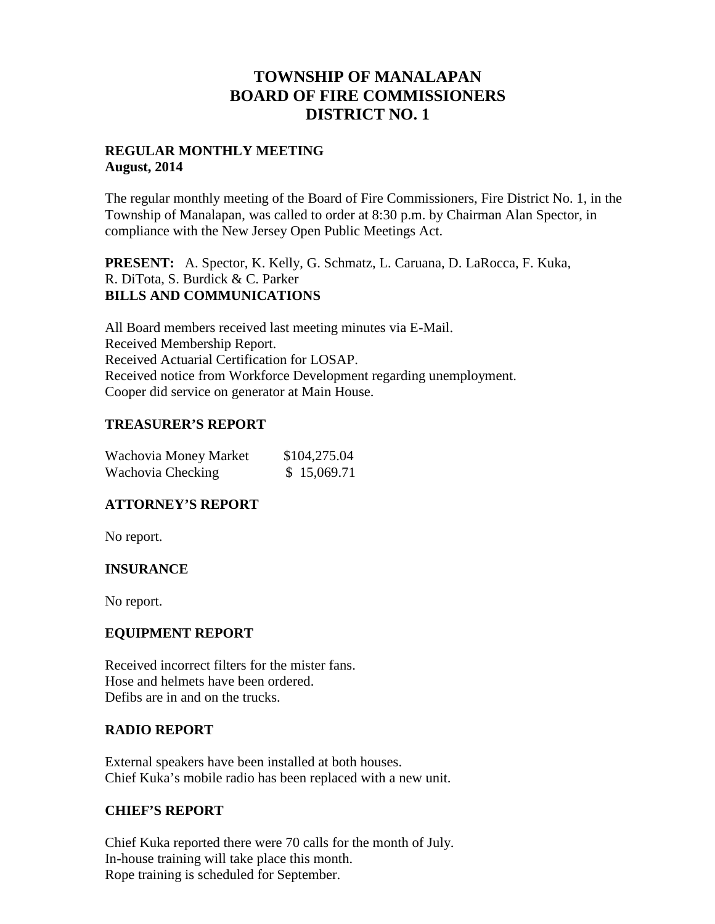# **TOWNSHIP OF MANALAPAN BOARD OF FIRE COMMISSIONERS DISTRICT NO. 1**

## **REGULAR MONTHLY MEETING August, 2014**

The regular monthly meeting of the Board of Fire Commissioners, Fire District No. 1, in the Township of Manalapan, was called to order at 8:30 p.m. by Chairman Alan Spector, in compliance with the New Jersey Open Public Meetings Act.

**PRESENT:** A. Spector, K. Kelly, G. Schmatz, L. Caruana, D. LaRocca, F. Kuka, R. DiTota, S. Burdick & C. Parker **BILLS AND COMMUNICATIONS**

All Board members received last meeting minutes via E-Mail. Received Membership Report. Received Actuarial Certification for LOSAP. Received notice from Workforce Development regarding unemployment. Cooper did service on generator at Main House.

## **TREASURER'S REPORT**

| Wachovia Money Market | \$104,275.04 |  |
|-----------------------|--------------|--|
| Wachovia Checking     | \$15,069.71  |  |

# **ATTORNEY'S REPORT**

No report.

# **INSURANCE**

No report.

### **EQUIPMENT REPORT**

Received incorrect filters for the mister fans. Hose and helmets have been ordered. Defibs are in and on the trucks.

### **RADIO REPORT**

External speakers have been installed at both houses. Chief Kuka's mobile radio has been replaced with a new unit.

### **CHIEF'S REPORT**

Chief Kuka reported there were 70 calls for the month of July. In-house training will take place this month. Rope training is scheduled for September.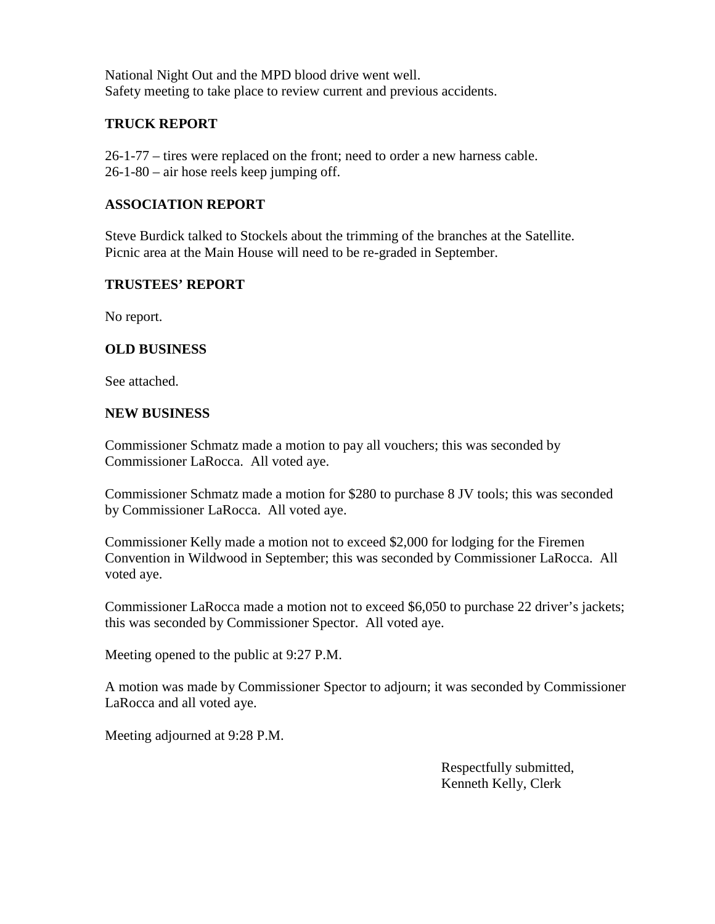National Night Out and the MPD blood drive went well. Safety meeting to take place to review current and previous accidents.

## **TRUCK REPORT**

26-1-77 – tires were replaced on the front; need to order a new harness cable. 26-1-80 – air hose reels keep jumping off.

## **ASSOCIATION REPORT**

Steve Burdick talked to Stockels about the trimming of the branches at the Satellite. Picnic area at the Main House will need to be re-graded in September.

## **TRUSTEES' REPORT**

No report.

## **OLD BUSINESS**

See attached.

### **NEW BUSINESS**

Commissioner Schmatz made a motion to pay all vouchers; this was seconded by Commissioner LaRocca. All voted aye.

Commissioner Schmatz made a motion for \$280 to purchase 8 JV tools; this was seconded by Commissioner LaRocca. All voted aye.

Commissioner Kelly made a motion not to exceed \$2,000 for lodging for the Firemen Convention in Wildwood in September; this was seconded by Commissioner LaRocca. All voted aye.

Commissioner LaRocca made a motion not to exceed \$6,050 to purchase 22 driver's jackets; this was seconded by Commissioner Spector. All voted aye.

Meeting opened to the public at 9:27 P.M.

A motion was made by Commissioner Spector to adjourn; it was seconded by Commissioner LaRocca and all voted aye.

Meeting adjourned at 9:28 P.M.

Respectfully submitted, Kenneth Kelly, Clerk